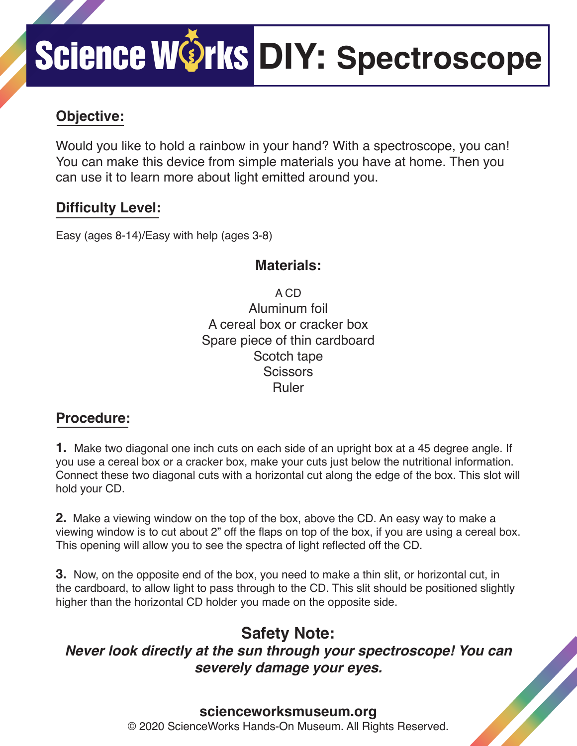## Science WOrks DIY: Spectroscope

## **Objective:**

Would you like to hold a rainbow in your hand? With a spectroscope, you can! You can make this device from simple materials you have at home. Then you can use it to learn more about light emitted around you.

### **Difficulty Level:**

Easy (ages 8-14)/Easy with help (ages 3-8)

#### **Materials:**

A CD Aluminum foil A cereal box or cracker box Spare piece of thin cardboard Scotch tape **Scissors** Ruler

### **Procedure:**

**1.** Make two diagonal one inch cuts on each side of an upright box at a 45 degree angle. If you use a cereal box or a cracker box, make your cuts just below the nutritional information. Connect these two diagonal cuts with a horizontal cut along the edge of the box. This slot will hold your CD.

**2.** Make a viewing window on the top of the box, above the CD. An easy way to make a viewing window is to cut about 2" off the flaps on top of the box, if you are using a cereal box. This opening will allow you to see the spectra of light reflected off the CD.

**3.** Now, on the opposite end of the box, you need to make a thin slit, or horizontal cut, in the cardboard, to allow light to pass through to the CD. This slit should be positioned slightly higher than the horizontal CD holder you made on the opposite side.

## **Safety Note:**

*Never look directly at the sun through your spectroscope! You can severely damage your eyes.*

#### **scienceworksmuseum.org**

© 2020 ScienceWorks Hands-On Museum. All Rights Reserved.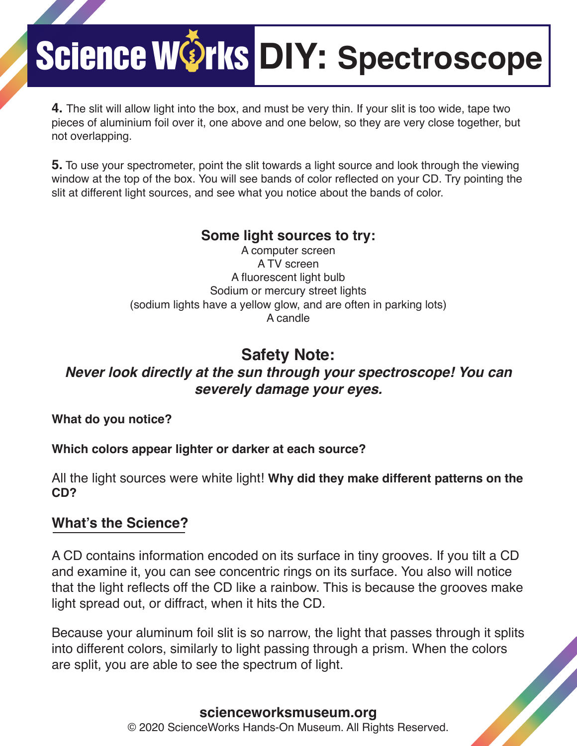## Science WOrks DIY: Spectroscope

**4.** The slit will allow light into the box, and must be very thin. If your slit is too wide, tape two pieces of aluminium foil over it, one above and one below, so they are very close together, but not overlapping.

**5.** To use your spectrometer, point the slit towards a light source and look through the viewing window at the top of the box. You will see bands of color reflected on your CD. Try pointing the slit at different light sources, and see what you notice about the bands of color.

#### **Some light sources to try:**

A computer screen A TV screen A fluorescent light bulb Sodium or mercury street lights (sodium lights have a yellow glow, and are often in parking lots) A candle

## **Safety Note:**

#### *Never look directly at the sun through your spectroscope! You can severely damage your eyes.*

**What do you notice?**

#### **Which colors appear lighter or darker at each source?**

All the light sources were white light! **Why did they make different patterns on the CD?**

#### **What's the Science?**

A CD contains information encoded on its surface in tiny grooves. If you tilt a CD and examine it, you can see concentric rings on its surface. You also will notice that the light reflects off the CD like a rainbow. This is because the grooves make light spread out, or diffract, when it hits the CD.

Because your aluminum foil slit is so narrow, the light that passes through it splits into different colors, similarly to light passing through a prism. When the colors are split, you are able to see the spectrum of light.

#### **scienceworksmuseum.org** © 2020 ScienceWorks Hands-On Museum. All Rights Reserved.